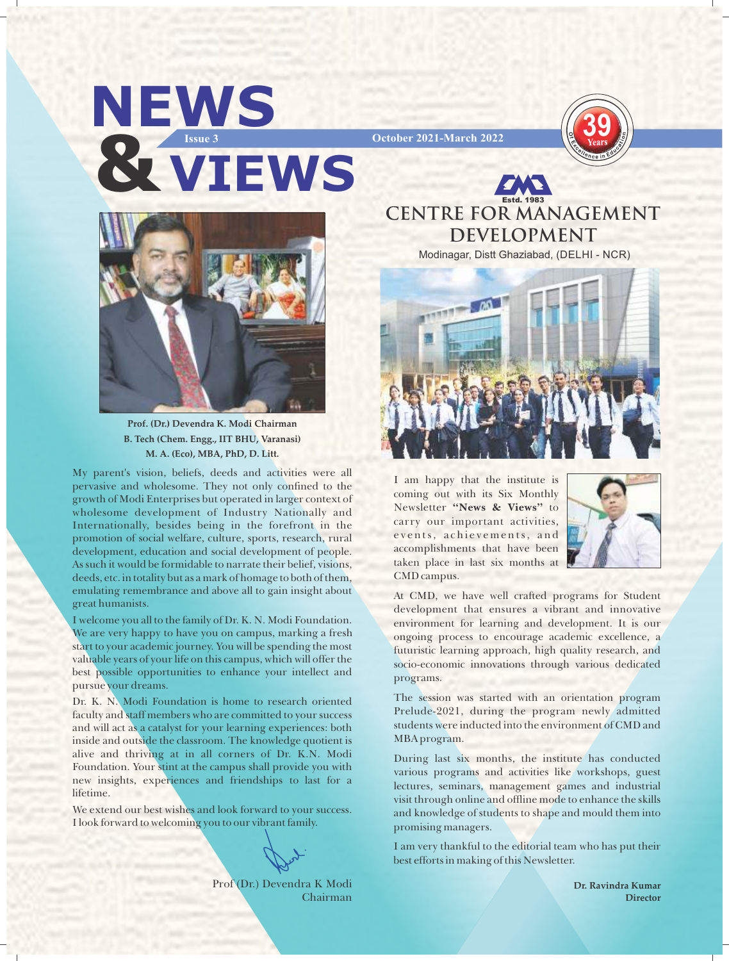

**39**



**Prof. (Dr.) Devendra K. Modi Chairman B. Tech (Chem. Engg., IIT BHU, Varanasi) M. A. (Eco), MBA, PhD, D. Litt.** 

My parent's vision, beliefs, deeds and activities were all pervasive and wholesome. They not only confined to the growth of Modi Enterprises but operated in larger context of wholesome development of Industry Nationally and Internationally, besides being in the forefront in the promotion of social welfare, culture, sports, research, rural development, education and social development of people. As such it would be formidable to narrate their belief, visions, deeds, etc. in totality but as a mark of homage to both of them, emulating remembrance and above all to gain insight about great humanists.

I welcome you all to the family of Dr. K. N. Modi Foundation. We are very happy to have you on campus, marking a fresh start to your academic journey. You will be spending the most valuable years of your life on this campus, which will offer the best possible opportunities to enhance your intellect and pursue your dreams.

Dr. K. N. Modi Foundation is home to research oriented faculty and staff members who are committed to your success and will act as a catalyst for your learning experiences: both inside and outside the classroom. The knowledge quotient is alive and thriving at in all corners of Dr. K.N. Modi Foundation. Your stint at the campus shall provide you with new insights, experiences and friendships to last for a lifetime.

We extend our best wishes and look forward to your success. I look forward to welcoming you to our vibrant family.

Prof (Dr.) Devendra K Modi Chairman

**CENTRE FOR MANAGEMENT DEVELOPMENT**

Estd. 1983

Modinagar, Distt Ghaziabad, (DELHI - NCR)



I am happy that the institute is coming out with its Six Monthly Newsletter **"News & Views"** to carry our important activities, events, achievements, and accomplishments that have been taken place in last six months at CMD campus.



At CMD, we have well crafted programs for Student development that ensures a vibrant and innovative environment for learning and development. It is our ongoing process to encourage academic excellence, a futuristic learning approach, high quality research, and socio-economic innovations through various dedicated programs.

The session was started with an orientation program Prelude-2021, during the program newly admitted students were inducted into the environment of CMD and MBA program.

During last six months, the institute has conducted various programs and activities like workshops, guest lectures, seminars, management games and industrial visit through online and offline mode to enhance the skills and knowledge of students to shape and mould them into promising managers.

I am very thankful to the editorial team who has put their best efforts in making of this Newsletter.

> **Dr. Ravindra Kumar Director**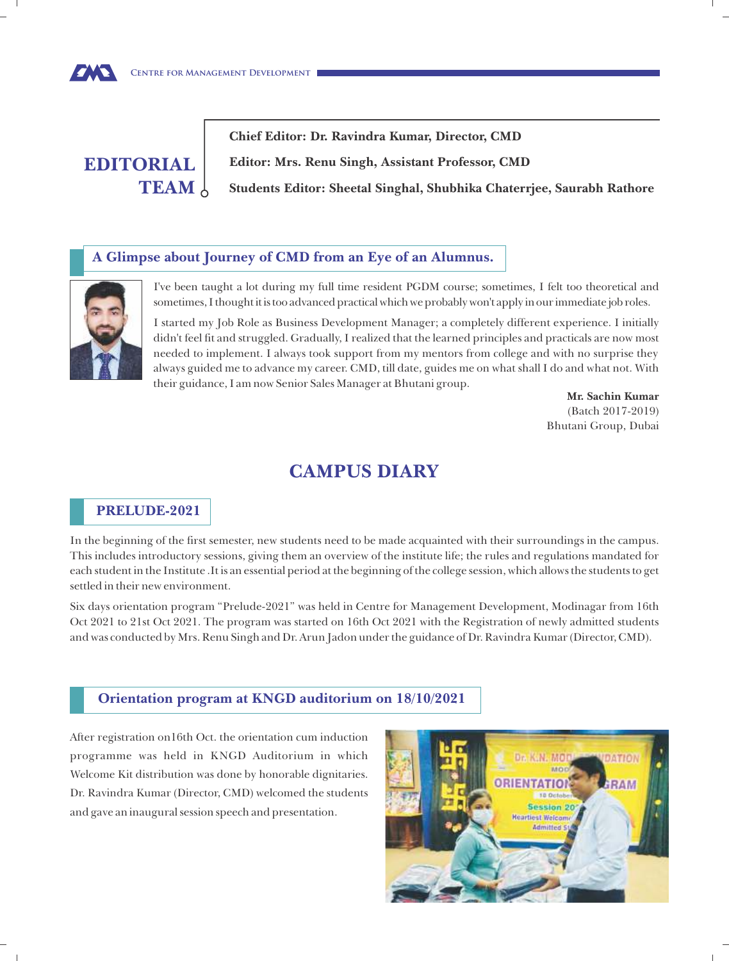

**Chief Editor: Dr. Ravindra Kumar, Director, CMD Editor: Mrs. Renu Singh, Assistant Professor, CMD Students Editor: Sheetal Singhal, Shubhika Chaterrjee, Saurabh Rathore** 

#### **A Glimpse about Journey of CMD from an Eye of an Alumnus.**



**EWS** 

I've been taught a lot during my full time resident PGDM course; sometimes, I felt too theoretical and sometimes, I thought it is too advanced practical which we probably won't apply in our immediate job roles.

I started my Job Role as Business Development Manager; a completely different experience. I initially didn't feel fit and struggled. Gradually, I realized that the learned principles and practicals are now most needed to implement. I always took support from my mentors from college and with no surprise they always guided me to advance my career. CMD, till date, guides me on what shall I do and what not. With their guidance, I am now Senior Sales Manager at Bhutani group.

> **Mr. Sachin Kumar** (Batch 2017-2019) Bhutani Group, Dubai

# **CAMPUS DIARY**

## **PRELUDE-2021**

In the beginning of the first semester, new students need to be made acquainted with their surroundings in the campus. This includes introductory sessions, giving them an overview of the institute life; the rules and regulations mandated for each student in the Institute .It is an essential period at the beginning of the college session, which allows the students to get settled in their new environment.

Six days orientation program "Prelude-2021" was held in Centre for Management Development, Modinagar from 16th Oct 2021 to 21st Oct 2021. The program was started on 16th Oct 2021 with the Registration of newly admitted students and was conducted by Mrs. Renu Singh and Dr. Arun Jadon under the guidance of Dr. Ravindra Kumar (Director, CMD).

## **Orientation program at KNGD auditorium on 18/10/2021**

After registration on16th Oct. the orientation cum induction programme was held in KNGD Auditorium in which Welcome Kit distribution was done by honorable dignitaries. Dr. Ravindra Kumar (Director, CMD) welcomed the students and gave an inaugural session speech and presentation.

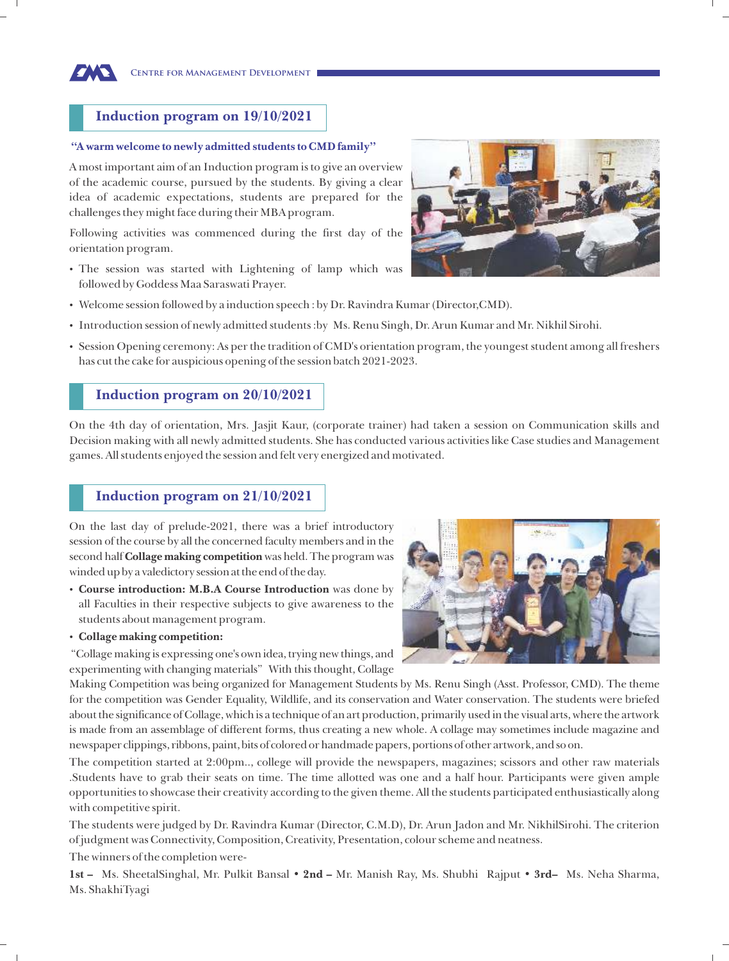#### **Induction program on 19/10/2021**

#### **"A warm welcome to newly admitted students to CMD family"**

**Centre for Management Development**

A most important aim of an Induction program is to give an overview of the academic course, pursued by the students. By giving a clear idea of academic expectations, students are prepared for the challenges they might face during their MBA program.

Following activities was commenced during the first day of the orientation program.

 The session was started with Lightening of lamp which was followed by Goddess Maa Saraswati Prayer.



- Introduction session of newly admitted students :by Ms. Renu Singh, Dr. Arun Kumar and Mr. Nikhil Sirohi.
- Session Opening ceremony: As per the tradition of CMD's orientation program, the youngest student among all freshers has cut the cake for auspicious opening of the session batch 2021-2023.

#### **Induction program on 20/10/2021**

On the 4th day of orientation, Mrs. Jasjit Kaur, (corporate trainer) had taken a session on Communication skills and Decision making with all newly admitted students. She has conducted various activities like Case studies and Management games. All students enjoyed the session and felt very energized and motivated.

#### **Induction program on 21/10/2021**

On the last day of prelude-2021, there was a brief introductory session of the course by all the concerned faculty members and in the second half **Collage making competition** was held. The program was winded up by a valedictory session at the end of the day.

- **Course introduction: M.B.A Course Introduction** was done by all Faculties in their respective subjects to give awareness to the students about management program.
- **Collage making competition:**

"Collage making is expressing one's own idea, trying new things, and experimenting with changing materials" With this thought, Collage

Making Competition was being organized for Management Students by Ms. Renu Singh (Asst. Professor, CMD). The theme for the competition was Gender Equality, Wildlife, and its conservation and Water conservation. The students were briefed about the significance of Collage, which is a technique of an art production, primarily used in the visual arts, where the artwork is made from an assemblage of different forms, thus creating a new whole. A collage may sometimes include magazine and newspaper clippings, ribbons, paint, bits of colored or handmade papers, portions of other artwork, and so on.

The competition started at 2:00pm.., college will provide the newspapers, magazines; scissors and other raw materials .Students have to grab their seats on time. The time allotted was one and a half hour. Participants were given ample opportunities to showcase their creativity according to the given theme. All the students participated enthusiastically along with competitive spirit.

The students were judged by Dr. Ravindra Kumar (Director, C.M.D), Dr. Arun Jadon and Mr. NikhilSirohi. The criterion of judgment was Connectivity, Composition, Creativity, Presentation, colour scheme and neatness.

The winners of the completion were-

**1st –** Ms. SheetalSinghal, Mr. Pulkit Bansal • **2nd –** Mr. Manish Ray, Ms. Shubhi Rajput • **3rd–** Ms. Neha Sharma, Ms. ShakhiTyagi





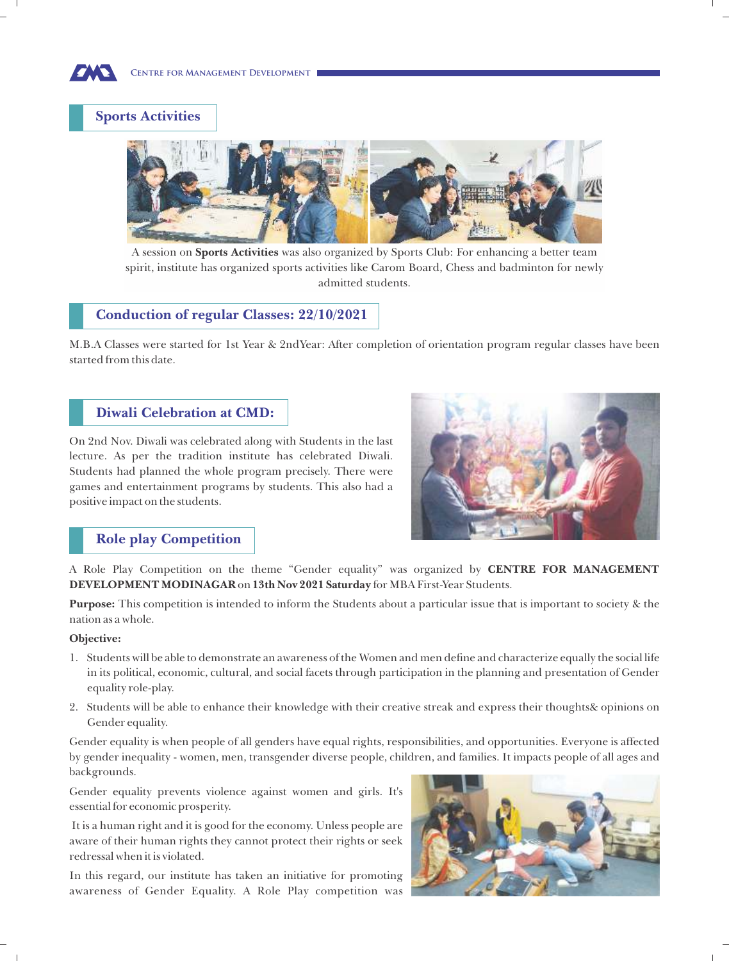**Centre for Management Development**

# **Sports Activities**



A session on **Sports Activities** was also organized by Sports Club: For enhancing a better team spirit, institute has organized sports activities like Carom Board, Chess and badminton for newly admitted students.

#### **Conduction of regular Classes: 22/10/2021**

M.B.A Classes were started for 1st Year & 2ndYear: After completion of orientation program regular classes have been started from this date.

## **Diwali Celebration at CMD:**

On 2nd Nov. Diwali was celebrated along with Students in the last lecture. As per the tradition institute has celebrated Diwali. Students had planned the whole program precisely. There were games and entertainment programs by students. This also had a positive impact on the students.



# **Role play Competition**

A Role Play Competition on the theme "Gender equality" was organized by **CENTRE FOR MANAGEMENT DEVELOPMENT MODINAGAR** on **13th Nov 2021 Saturday** for MBA First-Year Students.

**Purpose:** This competition is intended to inform the Students about a particular issue that is important to society & the nation as a whole.

#### **Objective:**

- 1. Students will be able to demonstrate an awareness of the Women and men define and characterize equally the social life in its political, economic, cultural, and social facets through participation in the planning and presentation of Gender equality role-play.
- 2. Students will be able to enhance their knowledge with their creative streak and express their thoughts& opinions on Gender equality.

Gender equality is when people of all genders have equal rights, responsibilities, and opportunities. Everyone is affected by gender inequality - women, men, transgender diverse people, children, and families. It impacts people of all ages and backgrounds.

Gender equality prevents violence against women and girls. It's essential for economic prosperity.

It is a human right and it is good for the economy. Unless people are aware of their human rights they cannot protect their rights or seek redressal when it is violated.

In this regard, our institute has taken an initiative for promoting awareness of Gender Equality. A Role Play competition was

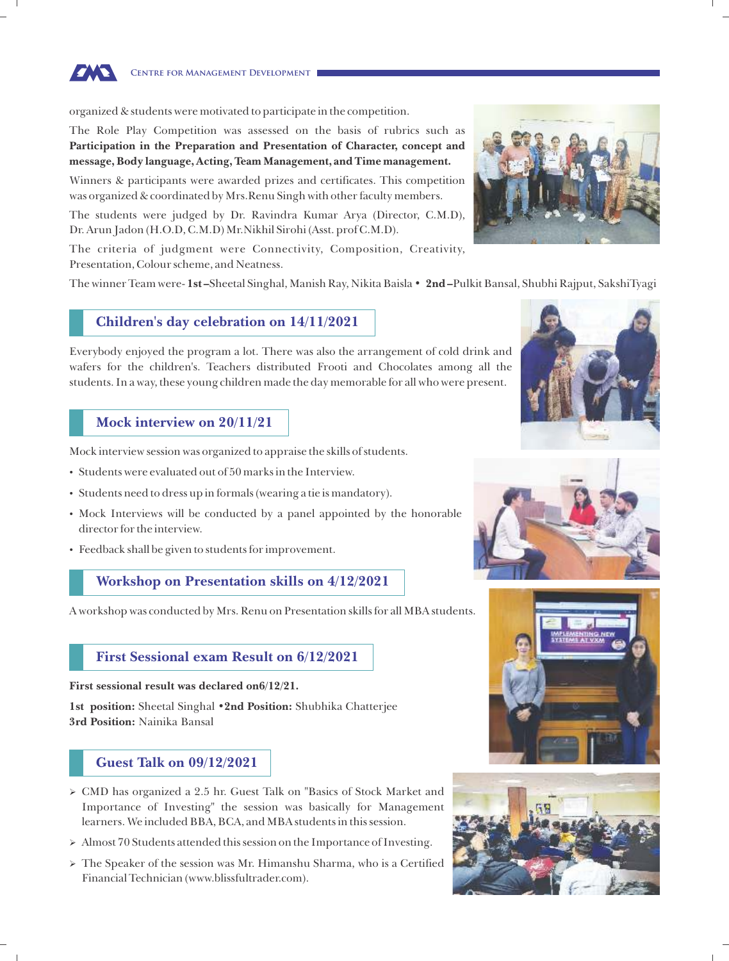

organized & students were motivated to participate in the competition.

The Role Play Competition was assessed on the basis of rubrics such as **Participation in the Preparation and Presentation of Character, concept and message, Body language, Acting, Team Management, and Time management.**

Winners & participants were awarded prizes and certificates. This competition was organized & coordinated by Mrs.Renu Singh with other faculty members.

The students were judged by Dr. Ravindra Kumar Arya (Director, C.M.D), Dr. Arun Jadon (H.O.D, C.M.D) Mr.Nikhil Sirohi (Asst. prof C.M.D).

The criteria of judgment were Connectivity, Composition, Creativity, Presentation, Colour scheme, and Neatness.

The winner Team were- **1st –**Sheetal Singhal, Manish Ray, Nikita Baisla • **2nd –**Pulkit Bansal, Shubhi Rajput, SakshiTyagi

#### **Children's day celebration on 14/11/2021**

Everybody enjoyed the program a lot. There was also the arrangement of cold drink and wafers for the children's. Teachers distributed Frooti and Chocolates among all the students. In a way, these young children made the day memorable for all who were present.

## **Mock interview on 20/11/21**

Mock interview session was organized to appraise the skills of students.

- Students were evaluated out of 50 marks in the Interview.
- Students need to dress up in formals (wearing a tie is mandatory).
- Mock Interviews will be conducted by a panel appointed by the honorable director for the interview.
- Feedback shall be given to students for improvement.

## **Workshop on Presentation skills on 4/12/2021**

A workshop was conducted by Mrs. Renu on Presentation skills for all MBA students.

#### **First Sessional exam Result on 6/12/2021**

**First sessional result was declared on6/12/21.**

**1st position:** Sheetal Singhal •**2nd Position:** Shubhika Chatterjee **3rd Position:** Nainika Bansal

## **Guest Talk on 09/12/2021**

- CMD has organized a 2.5 hr. Guest Talk on "Basics of Stock Market and Importance of Investing" the session was basically for Management learners. We included BBA, BCA, and MBA students in this session.
- Almost 70 Students attended this session on the Importance of Investing.
- The Speaker of the session was Mr. Himanshu Sharma, who is a Certified Financial Technician (www.blissfultrader.com).









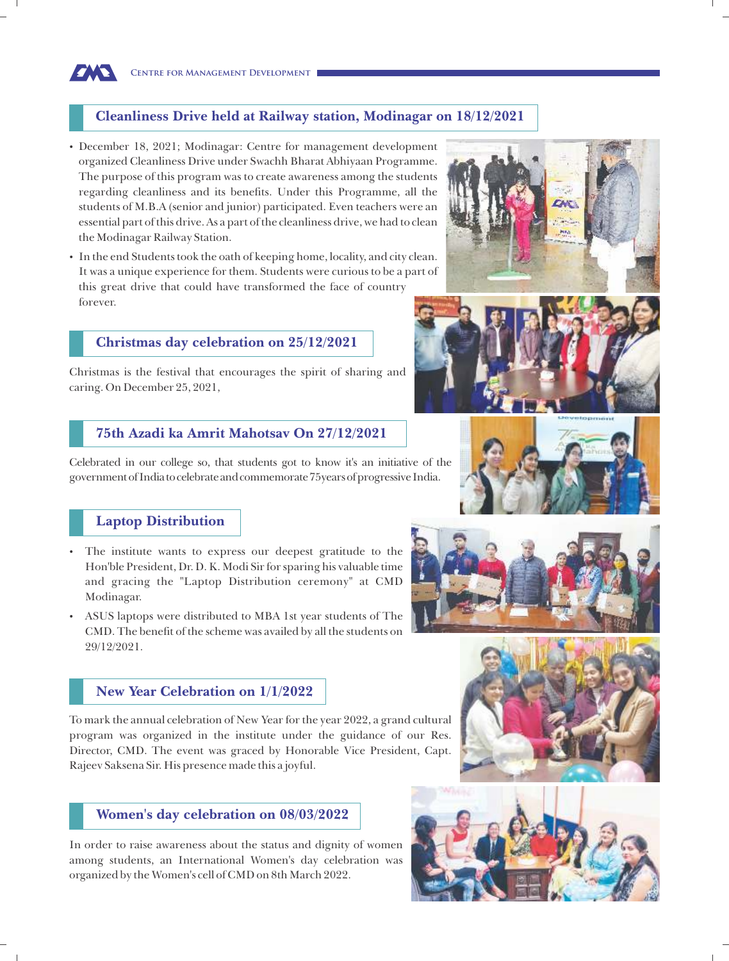# **Cleanliness Drive held at Railway station, Modinagar on 18/12/2021**

- December 18, 2021; Modinagar: Centre for management development organized Cleanliness Drive under Swachh Bharat Abhiyaan Programme. The purpose of this program was to create awareness among the students regarding cleanliness and its benefits. Under this Programme, all the students of M.B.A (senior and junior) participated. Even teachers were an essential part of this drive. As a part of the cleanliness drive, we had to clean the Modinagar Railway Station.
- In the end Students took the oath of keeping home, locality, and city clean. It was a unique experience for them. Students were curious to be a part of this great drive that could have transformed the face of country forever.

#### **Christmas day celebration on 25/12/2021**

Christmas is the festival that encourages the spirit of sharing and caring. On December 25, 2021,

#### **75th Azadi ka Amrit Mahotsav On 27/12/2021**

Celebrated in our college so, that students got to know it's an initiative of the government of India to celebrate and commemorate 75 years of progressive India.

# **Laptop Distribution**

- The institute wants to express our deepest gratitude to the Hon'ble President, Dr. D. K. Modi Sir for sparing his valuable time and gracing the "Laptop Distribution ceremony" at CMD Modinagar.
- ASUS laptops were distributed to MBA 1st year students of The CMD. The benefit of the scheme was availed by all the students on 29/12/2021.



To mark the annual celebration of New Year for the year 2022, a grand cultural program was organized in the institute under the guidance of our Res. Director, CMD. The event was graced by Honorable Vice President, Capt. Rajeev Saksena Sir. His presence made this a joyful.

## **Women's day celebration on 08/03/2022**

In order to raise awareness about the status and dignity of women among students, an International Women's day celebration was organized by the Women's cell of CMD on 8th March 2022.













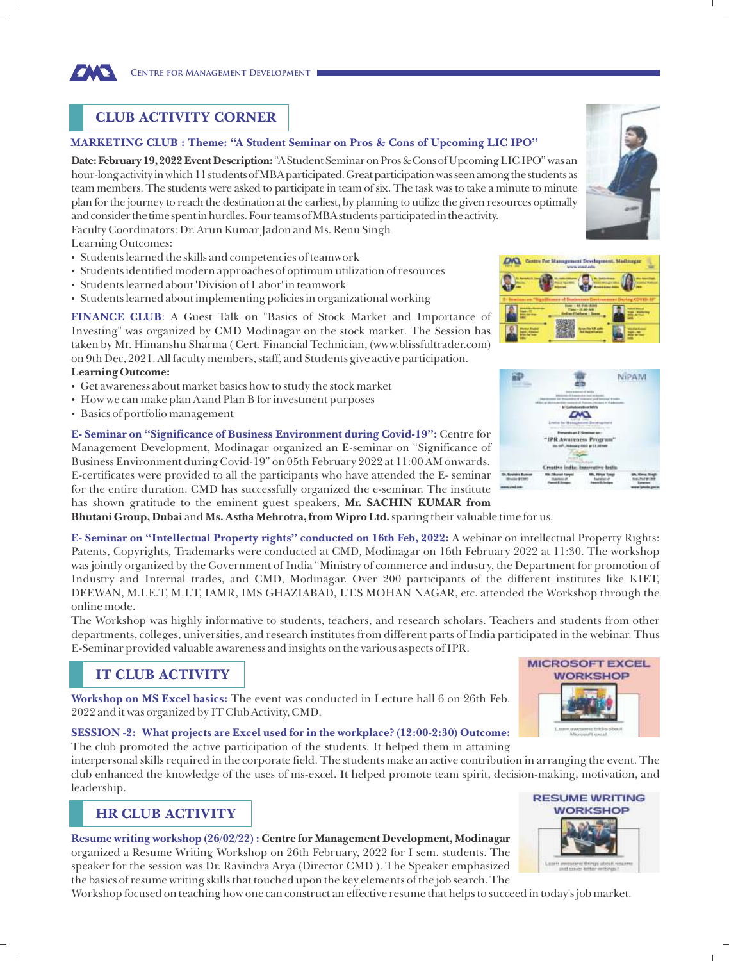

# **CLUB ACTIVITY CORNER**

#### **MARKETING CLUB : Theme: "A Student Seminar on Pros & Cons of Upcoming LIC IPO"**

Date: February 19, 2022 Event Description: "A Student Seminar on Pros & Cons of Upcoming LIC IPO" was an hour-long activity in which 11 students of MBA participated. Great participation was seen among the students as team members. The students were asked to participate in team of six. The task was to take a minute to minute plan for the journey to reach the destination at the earliest, by planning to utilize the given resources optimally and consider the time spent in hurdles. Four teams of MBA students participated in the activity. Faculty Coordinators: Dr. Arun Kumar Jadon and Ms. Renu Singh

Learning Outcomes:

**Learning Outcome:**

Basics of portfolio management

- Students learned the skills and competencies of teamwork
- Students identified modern approaches of optimum utilization of resources
- Students learned about 'Division of Labor' in teamwork
- Students learned about implementing policies in organizational working

 Get awareness about market basics how to study the stock market How we can make plan A and Plan B for investment purposes

on 9th Dec, 2021. All faculty members, staff, and Students give active participation.





OVO

**E- Seminar on "Significance of Business Environment during Covid-19":** Centre for Management Development, Modinagar organized an E-seminar on "Significance of Business Environment during Covid-19" on 05th February 2022 at 11:00 AM onwards. E-certificates were provided to all the participants who have attended the E- seminar for the entire duration. CMD has successfully organized the e-seminar. The institute has shown gratitude to the eminent guest speakers, **Mr. SACHIN KUMAR from Bhutani Group, Dubai** and **Ms. Astha Mehrotra, from Wipro Ltd.** sparing their valuable time for us.

**E- Seminar on "Intellectual Property rights" conducted on 16th Feb, 2022:** A webinar on intellectual Property Rights: Patents, Copyrights, Trademarks were conducted at CMD, Modinagar on 16th February 2022 at 11:30. The workshop was jointly organized by the Government of India "Ministry of commerce and industry, the Department for promotion of Industry and Internal trades, and CMD, Modinagar. Over 200 participants of the different institutes like KIET, DEEWAN, M.I.E.T, M.I.T, IAMR, IMS GHAZIABAD, I.T.S MOHAN NAGAR, etc. attended the Workshop through the online mode.

The Workshop was highly informative to students, teachers, and research scholars. Teachers and students from other departments, colleges, universities, and research institutes from different parts of India participated in the webinar. Thus E-Seminar provided valuable awareness and insights on the various aspects of IPR.

# **IT CLUB ACTIVITY**

**Workshop on MS Excel basics:** The event was conducted in Lecture hall 6 on 26th Feb. 2022 and it was organized by IT Club Activity, CMD.

#### **SESSION -2: What projects are Excel used for in the workplace? (12:00-2:30) Outcome:**

The club promoted the active participation of the students. It helped them in attaining

interpersonal skills required in the corporate field. The students make an active contribution in arranging the event. The club enhanced the knowledge of the uses of ms-excel. It helped promote team spirit, decision-making, motivation, and leadership.

# **HR CLUB ACTIVITY**

**Resume writing workshop (26/02/22) : Centre for Management Development, Modinagar** organized a Resume Writing Workshop on 26th February, 2022 for I sem. students. The speaker for the session was Dr. Ravindra Arya (Director CMD ). The Speaker emphasized the basics of resume writing skills that touched upon the key elements of the job search. The

Workshop focused on teaching how one can construct an effective resume that helps to succeed in today's job market.